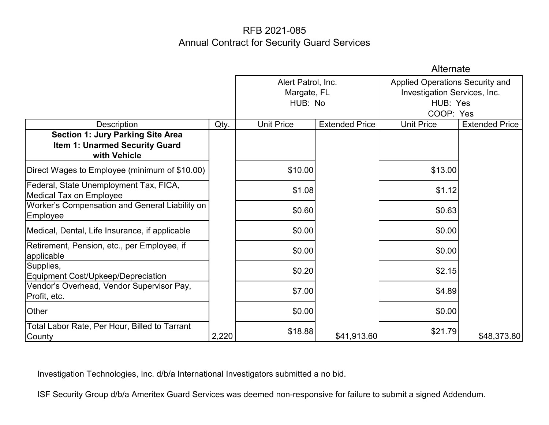|                                                                                            |       | Alternate                                    |                       |                                                                                          |                       |
|--------------------------------------------------------------------------------------------|-------|----------------------------------------------|-----------------------|------------------------------------------------------------------------------------------|-----------------------|
|                                                                                            |       | Alert Patrol, Inc.<br>Margate, FL<br>HUB: No |                       | Applied Operations Security and<br>Investigation Services, Inc.<br>HUB: Yes<br>COOP: Yes |                       |
| <b>Description</b>                                                                         | Qty.  | <b>Unit Price</b>                            | <b>Extended Price</b> | <b>Unit Price</b>                                                                        | <b>Extended Price</b> |
| <b>Section 1: Jury Parking Site Area</b><br>Item 1: Unarmed Security Guard<br>with Vehicle |       |                                              |                       |                                                                                          |                       |
| Direct Wages to Employee (minimum of \$10.00)                                              |       | \$10.00                                      |                       | \$13.00                                                                                  |                       |
| Federal, State Unemployment Tax, FICA,<br><b>Medical Tax on Employee</b>                   |       | \$1.08                                       |                       | \$1.12                                                                                   |                       |
| Worker's Compensation and General Liability on<br>Employee                                 |       | \$0.60                                       |                       | \$0.63                                                                                   |                       |
| Medical, Dental, Life Insurance, if applicable                                             |       | \$0.00                                       |                       | \$0.00                                                                                   |                       |
| Retirement, Pension, etc., per Employee, if<br>applicable                                  |       | \$0.00                                       |                       | \$0.00                                                                                   |                       |
| Supplies,<br>Equipment Cost/Upkeep/Depreciation                                            |       | \$0.20                                       |                       | \$2.15                                                                                   |                       |
| Vendor's Overhead, Vendor Supervisor Pay,<br>Profit, etc.                                  |       | \$7.00                                       |                       | \$4.89                                                                                   |                       |
| Other                                                                                      |       | \$0.00                                       |                       | \$0.00                                                                                   |                       |
| Total Labor Rate, Per Hour, Billed to Tarrant<br>County                                    | 2,220 | \$18.88                                      | \$41,913.60           | \$21.79                                                                                  | \$48,373.80           |

Investigation Technologies, Inc. d/b/a International Investigators submitted a no bid.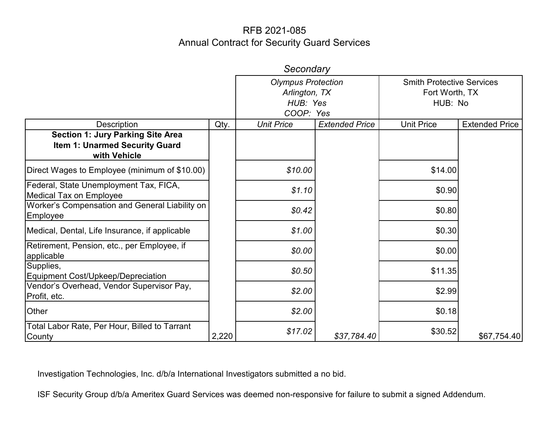|                                                                                            |       | Secondary                                                           |                       |                                                               |                       |
|--------------------------------------------------------------------------------------------|-------|---------------------------------------------------------------------|-----------------------|---------------------------------------------------------------|-----------------------|
|                                                                                            |       | <b>Olympus Protection</b><br>Arlington, TX<br>HUB: Yes<br>COOP: Yes |                       | <b>Smith Protective Services</b><br>Fort Worth, TX<br>HUB: No |                       |
| Description                                                                                | Qty.  | <b>Unit Price</b>                                                   | <b>Extended Price</b> | <b>Unit Price</b>                                             | <b>Extended Price</b> |
| <b>Section 1: Jury Parking Site Area</b><br>Item 1: Unarmed Security Guard<br>with Vehicle |       |                                                                     |                       |                                                               |                       |
| Direct Wages to Employee (minimum of \$10.00)                                              |       | \$10.00                                                             |                       | \$14.00                                                       |                       |
| Federal, State Unemployment Tax, FICA,<br><b>Medical Tax on Employee</b>                   |       | \$1.10                                                              |                       | \$0.90                                                        |                       |
| Worker's Compensation and General Liability on<br>Employee                                 |       | \$0.42                                                              |                       | \$0.80                                                        |                       |
| Medical, Dental, Life Insurance, if applicable                                             |       | \$1.00                                                              |                       | \$0.30                                                        |                       |
| Retirement, Pension, etc., per Employee, if<br>applicable                                  |       | \$0.00                                                              |                       | \$0.00                                                        |                       |
| Supplies,<br>Equipment Cost/Upkeep/Depreciation                                            |       | \$0.50                                                              |                       | \$11.35                                                       |                       |
| Vendor's Overhead, Vendor Supervisor Pay,<br>Profit, etc.                                  |       | \$2.00                                                              |                       | \$2.99                                                        |                       |
| Other                                                                                      |       | \$2.00                                                              |                       | \$0.18                                                        |                       |
| Total Labor Rate, Per Hour, Billed to Tarrant<br>County                                    | 2,220 | \$17.02                                                             | \$37,784.40           | \$30.52                                                       | \$67,754.40           |

Investigation Technologies, Inc. d/b/a International Investigators submitted a no bid.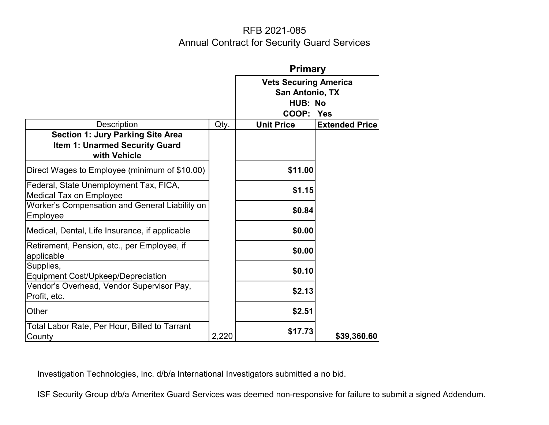|                                                                                                   |       | <b>Primary</b>                                                          |                       |  |
|---------------------------------------------------------------------------------------------------|-------|-------------------------------------------------------------------------|-----------------------|--|
|                                                                                                   |       | <b>Vets Securing America</b><br>San Antonio, TX<br>HUB: No<br>COOP: Yes |                       |  |
| <b>Description</b>                                                                                | Qty.  | <b>Unit Price</b>                                                       | <b>Extended Price</b> |  |
| <b>Section 1: Jury Parking Site Area</b><br><b>Item 1: Unarmed Security Guard</b><br>with Vehicle |       |                                                                         |                       |  |
| Direct Wages to Employee (minimum of \$10.00)                                                     |       | \$11.00                                                                 |                       |  |
| Federal, State Unemployment Tax, FICA,<br><b>Medical Tax on Employee</b>                          |       | \$1.15                                                                  |                       |  |
| Worker's Compensation and General Liability on<br>Employee                                        |       | \$0.84                                                                  |                       |  |
| Medical, Dental, Life Insurance, if applicable                                                    |       | \$0.00                                                                  |                       |  |
| Retirement, Pension, etc., per Employee, if<br>applicable                                         |       | \$0.00                                                                  |                       |  |
| Supplies,<br>Equipment Cost/Upkeep/Depreciation                                                   |       | \$0.10                                                                  |                       |  |
| Vendor's Overhead, Vendor Supervisor Pay,<br>Profit, etc.                                         |       | \$2.13                                                                  |                       |  |
| Other                                                                                             |       | \$2.51                                                                  |                       |  |
| Total Labor Rate, Per Hour, Billed to Tarrant<br>County                                           | 2,220 | \$17.73                                                                 | \$39,360.60           |  |

Investigation Technologies, Inc. d/b/a International Investigators submitted a no bid.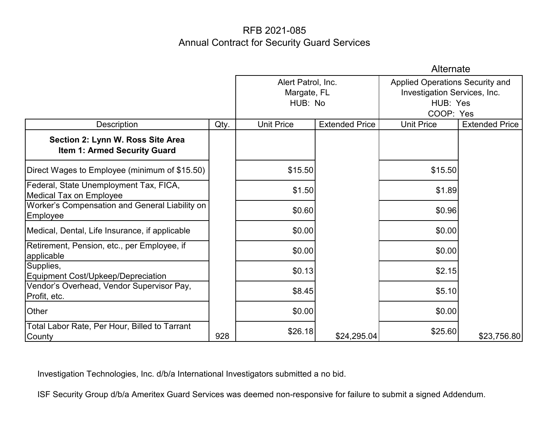|                                                                          |      | Alternate                                    |                       |                                                                                                 |                       |  |
|--------------------------------------------------------------------------|------|----------------------------------------------|-----------------------|-------------------------------------------------------------------------------------------------|-----------------------|--|
|                                                                          |      | Alert Patrol, Inc.<br>Margate, FL<br>HUB: No |                       | <b>Applied Operations Security and</b><br>Investigation Services, Inc.<br>HUB: Yes<br>COOP: Yes |                       |  |
| <b>Description</b>                                                       | Qty. | <b>Unit Price</b>                            | <b>Extended Price</b> | <b>Unit Price</b>                                                                               | <b>Extended Price</b> |  |
| Section 2: Lynn W. Ross Site Area<br>Item 1: Armed Security Guard        |      |                                              |                       |                                                                                                 |                       |  |
| Direct Wages to Employee (minimum of \$15.50)                            |      | \$15.50                                      |                       | \$15.50                                                                                         |                       |  |
| Federal, State Unemployment Tax, FICA,<br><b>Medical Tax on Employee</b> |      | \$1.50                                       |                       | \$1.89                                                                                          |                       |  |
| Worker's Compensation and General Liability on<br>Employee               |      | \$0.60                                       |                       | \$0.96                                                                                          |                       |  |
| Medical, Dental, Life Insurance, if applicable                           |      | \$0.00                                       |                       | \$0.00                                                                                          |                       |  |
| Retirement, Pension, etc., per Employee, if<br>applicable                |      | \$0.00                                       |                       | \$0.00                                                                                          |                       |  |
| Supplies,<br>Equipment Cost/Upkeep/Depreciation                          |      | \$0.13                                       |                       | \$2.15                                                                                          |                       |  |
| Vendor's Overhead, Vendor Supervisor Pay,<br>Profit, etc.                |      | \$8.45                                       |                       | \$5.10                                                                                          |                       |  |
| Other                                                                    |      | \$0.00                                       |                       | \$0.00                                                                                          |                       |  |
| Total Labor Rate, Per Hour, Billed to Tarrant<br>County                  | 928  | \$26.18                                      | \$24,295.04           | \$25.60                                                                                         | \$23,756.80           |  |

Investigation Technologies, Inc. d/b/a International Investigators submitted a no bid.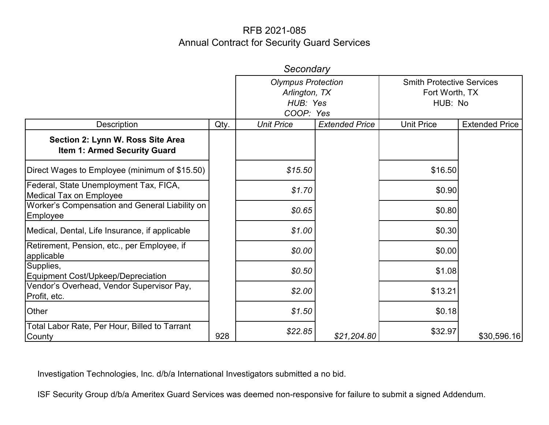|                                                                          |      | Secondary                                                           |                       |                                                               |                       |
|--------------------------------------------------------------------------|------|---------------------------------------------------------------------|-----------------------|---------------------------------------------------------------|-----------------------|
|                                                                          |      | <b>Olympus Protection</b><br>Arlington, TX<br>HUB: Yes<br>COOP: Yes |                       | <b>Smith Protective Services</b><br>Fort Worth, TX<br>HUB: No |                       |
| Description                                                              | Qty. | <b>Unit Price</b>                                                   | <b>Extended Price</b> | <b>Unit Price</b>                                             | <b>Extended Price</b> |
| Section 2: Lynn W. Ross Site Area<br><b>Item 1: Armed Security Guard</b> |      |                                                                     |                       |                                                               |                       |
| Direct Wages to Employee (minimum of \$15.50)                            |      | \$15.50                                                             |                       | \$16.50                                                       |                       |
| Federal, State Unemployment Tax, FICA,<br><b>Medical Tax on Employee</b> |      | \$1.70                                                              |                       | \$0.90                                                        |                       |
| Worker's Compensation and General Liability on<br><b>Employee</b>        |      | \$0.65                                                              |                       | \$0.80                                                        |                       |
| Medical, Dental, Life Insurance, if applicable                           |      | \$1.00                                                              |                       | \$0.30                                                        |                       |
| Retirement, Pension, etc., per Employee, if<br>applicable                |      | \$0.00                                                              |                       | \$0.00                                                        |                       |
| Supplies,<br>Equipment Cost/Upkeep/Depreciation                          |      | \$0.50                                                              |                       | \$1.08                                                        |                       |
| Vendor's Overhead, Vendor Supervisor Pay,<br>Profit, etc.                |      | \$2.00                                                              |                       | \$13.21                                                       |                       |
| Other                                                                    |      | \$1.50                                                              |                       | \$0.18                                                        |                       |
| Total Labor Rate, Per Hour, Billed to Tarrant<br>County                  | 928  | \$22.85                                                             | \$21,204.80           | \$32.97                                                       | \$30,596.16           |

Investigation Technologies, Inc. d/b/a International Investigators submitted a no bid.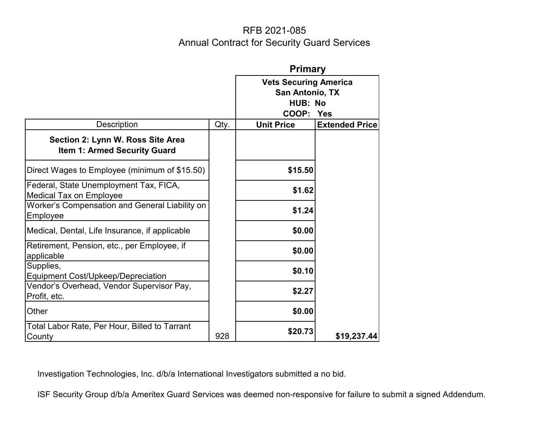|                                                                          |      | <b>Primary</b>                                                          |                       |  |
|--------------------------------------------------------------------------|------|-------------------------------------------------------------------------|-----------------------|--|
|                                                                          |      | <b>Vets Securing America</b><br>San Antonio, TX<br>HUB: No<br>COOP: Yes |                       |  |
| <b>Description</b>                                                       | Qty. | <b>Unit Price</b>                                                       | <b>Extended Price</b> |  |
| Section 2: Lynn W. Ross Site Area<br><b>Item 1: Armed Security Guard</b> |      |                                                                         |                       |  |
| Direct Wages to Employee (minimum of \$15.50)                            |      | \$15.50                                                                 |                       |  |
| Federal, State Unemployment Tax, FICA,<br><b>Medical Tax on Employee</b> |      | \$1.62                                                                  |                       |  |
| Worker's Compensation and General Liability on<br>Employee               |      | \$1.24                                                                  |                       |  |
| Medical, Dental, Life Insurance, if applicable                           |      | \$0.00                                                                  |                       |  |
| Retirement, Pension, etc., per Employee, if<br>applicable                |      | \$0.00                                                                  |                       |  |
| Supplies,<br>Equipment Cost/Upkeep/Depreciation                          |      | \$0.10                                                                  |                       |  |
| Vendor's Overhead, Vendor Supervisor Pay,<br>Profit, etc.                |      | \$2.27                                                                  |                       |  |
| Other                                                                    |      | \$0.00                                                                  |                       |  |
| Total Labor Rate, Per Hour, Billed to Tarrant<br>County                  | 928  | \$20.73                                                                 | \$19,237.44           |  |

Investigation Technologies, Inc. d/b/a International Investigators submitted a no bid.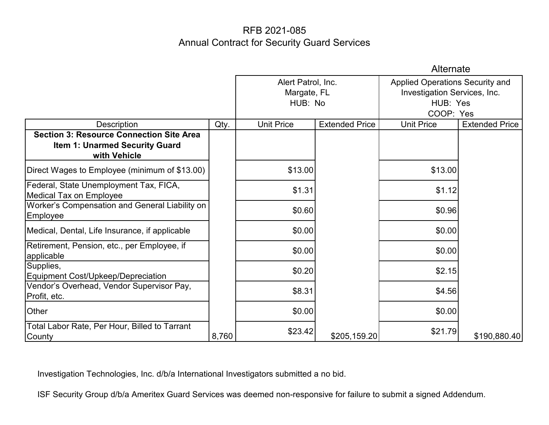|                                                                                                          |       | Alternate                                    |                       |                                                                                          |                       |  |
|----------------------------------------------------------------------------------------------------------|-------|----------------------------------------------|-----------------------|------------------------------------------------------------------------------------------|-----------------------|--|
|                                                                                                          |       | Alert Patrol, Inc.<br>Margate, FL<br>HUB: No |                       | Applied Operations Security and<br>Investigation Services, Inc.<br>HUB: Yes<br>COOP: Yes |                       |  |
| Description                                                                                              | Qty.  | <b>Unit Price</b>                            | <b>Extended Price</b> | <b>Unit Price</b>                                                                        | <b>Extended Price</b> |  |
| <b>Section 3: Resource Connection Site Area</b><br><b>Item 1: Unarmed Security Guard</b><br>with Vehicle |       |                                              |                       |                                                                                          |                       |  |
| Direct Wages to Employee (minimum of \$13.00)                                                            |       | \$13.00                                      |                       | \$13.00                                                                                  |                       |  |
| Federal, State Unemployment Tax, FICA,<br><b>Medical Tax on Employee</b>                                 |       | \$1.31                                       |                       | \$1.12                                                                                   |                       |  |
| Worker's Compensation and General Liability on<br>Employee                                               |       | \$0.60                                       |                       | \$0.96                                                                                   |                       |  |
| Medical, Dental, Life Insurance, if applicable                                                           |       | \$0.00                                       |                       | \$0.00                                                                                   |                       |  |
| Retirement, Pension, etc., per Employee, if<br>applicable                                                |       | \$0.00                                       |                       | \$0.00                                                                                   |                       |  |
| Supplies,<br>Equipment Cost/Upkeep/Depreciation                                                          |       | \$0.20                                       |                       | \$2.15                                                                                   |                       |  |
| Vendor's Overhead, Vendor Supervisor Pay,<br>Profit, etc.                                                |       | \$8.31                                       |                       | \$4.56                                                                                   |                       |  |
| Other                                                                                                    |       | \$0.00                                       |                       | \$0.00                                                                                   |                       |  |
| Total Labor Rate, Per Hour, Billed to Tarrant<br>County                                                  | 8,760 | \$23.42                                      | \$205,159.20          | \$21.79                                                                                  | \$190,880.40          |  |

Investigation Technologies, Inc. d/b/a International Investigators submitted a no bid.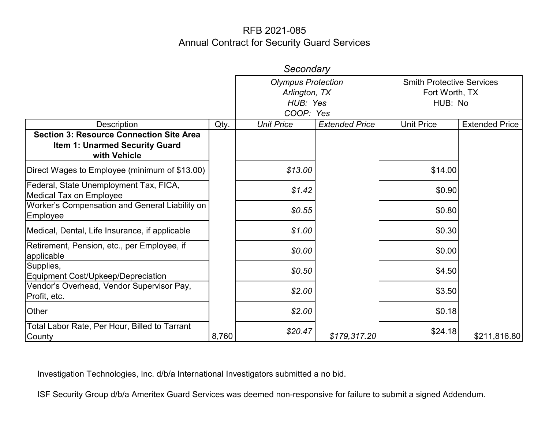|                                                                                                   |       | Secondary                                                           |                       |                                                               |                       |
|---------------------------------------------------------------------------------------------------|-------|---------------------------------------------------------------------|-----------------------|---------------------------------------------------------------|-----------------------|
|                                                                                                   |       | <b>Olympus Protection</b><br>Arlington, TX<br>HUB: Yes<br>COOP: Yes |                       | <b>Smith Protective Services</b><br>Fort Worth, TX<br>HUB: No |                       |
| Description                                                                                       | Qty.  | <b>Unit Price</b>                                                   | <b>Extended Price</b> | <b>Unit Price</b>                                             | <b>Extended Price</b> |
| <b>Section 3: Resource Connection Site Area</b><br>Item 1: Unarmed Security Guard<br>with Vehicle |       |                                                                     |                       |                                                               |                       |
| Direct Wages to Employee (minimum of \$13.00)                                                     |       | \$13.00                                                             |                       | \$14.00                                                       |                       |
| Federal, State Unemployment Tax, FICA,<br><b>Medical Tax on Employee</b>                          |       | \$1.42                                                              |                       | \$0.90                                                        |                       |
| Worker's Compensation and General Liability on<br>Employee                                        |       | \$0.55                                                              |                       | \$0.80                                                        |                       |
| Medical, Dental, Life Insurance, if applicable                                                    |       | \$1.00                                                              |                       | \$0.30                                                        |                       |
| Retirement, Pension, etc., per Employee, if<br>applicable                                         |       | \$0.00                                                              |                       | \$0.00                                                        |                       |
| Supplies,<br>Equipment Cost/Upkeep/Depreciation                                                   |       | \$0.50                                                              |                       | \$4.50                                                        |                       |
| Vendor's Overhead, Vendor Supervisor Pay,<br>Profit, etc.                                         |       | \$2.00                                                              |                       | \$3.50                                                        |                       |
| Other                                                                                             |       | \$2.00                                                              |                       | \$0.18                                                        |                       |
| Total Labor Rate, Per Hour, Billed to Tarrant<br>County                                           | 8,760 | \$20.47                                                             | \$179,317.20          | \$24.18                                                       | \$211,816.80          |

Investigation Technologies, Inc. d/b/a International Investigators submitted a no bid.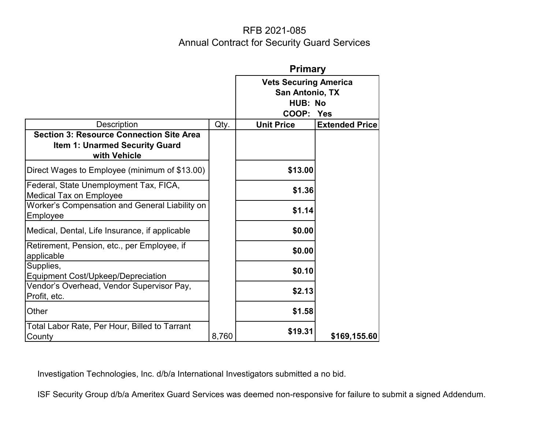|                                                                                                          |       | <b>Primary</b>                                                          |                       |  |  |
|----------------------------------------------------------------------------------------------------------|-------|-------------------------------------------------------------------------|-----------------------|--|--|
|                                                                                                          |       | <b>Vets Securing America</b><br>San Antonio, TX<br>HUB: No<br>COOP: Yes |                       |  |  |
| <b>Description</b>                                                                                       | Qty.  | <b>Unit Price</b>                                                       | <b>Extended Price</b> |  |  |
| <b>Section 3: Resource Connection Site Area</b><br><b>Item 1: Unarmed Security Guard</b><br>with Vehicle |       |                                                                         |                       |  |  |
| Direct Wages to Employee (minimum of \$13.00)                                                            |       | \$13.00                                                                 |                       |  |  |
| Federal, State Unemployment Tax, FICA,<br><b>Medical Tax on Employee</b>                                 |       | \$1.36                                                                  |                       |  |  |
| Worker's Compensation and General Liability on<br>Employee                                               |       | \$1.14                                                                  |                       |  |  |
| Medical, Dental, Life Insurance, if applicable                                                           |       | \$0.00                                                                  |                       |  |  |
| Retirement, Pension, etc., per Employee, if<br>applicable                                                |       | \$0.00                                                                  |                       |  |  |
| Supplies,<br><b>Equipment Cost/Upkeep/Depreciation</b>                                                   |       | \$0.10                                                                  |                       |  |  |
| Vendor's Overhead, Vendor Supervisor Pay,<br>Profit, etc.                                                |       | \$2.13                                                                  |                       |  |  |
| Other                                                                                                    |       | \$1.58                                                                  |                       |  |  |
| Total Labor Rate, Per Hour, Billed to Tarrant<br>County                                                  | 8,760 | \$19.31                                                                 | \$169,155.60          |  |  |

Investigation Technologies, Inc. d/b/a International Investigators submitted a no bid.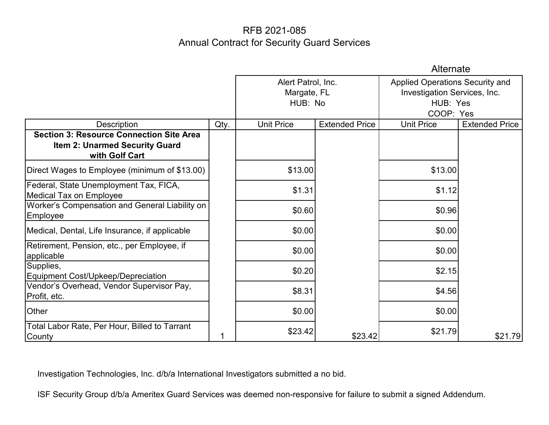|                                                                                                            |      | Alternate                                    |                       |                                                                                          |                       |  |
|------------------------------------------------------------------------------------------------------------|------|----------------------------------------------|-----------------------|------------------------------------------------------------------------------------------|-----------------------|--|
|                                                                                                            |      | Alert Patrol, Inc.<br>Margate, FL<br>HUB: No |                       | Applied Operations Security and<br>Investigation Services, Inc.<br>HUB: Yes<br>COOP: Yes |                       |  |
| Description                                                                                                | Qty. | <b>Unit Price</b>                            | <b>Extended Price</b> | <b>Unit Price</b>                                                                        | <b>Extended Price</b> |  |
| <b>Section 3: Resource Connection Site Area</b><br><b>Item 2: Unarmed Security Guard</b><br>with Golf Cart |      |                                              |                       |                                                                                          |                       |  |
| Direct Wages to Employee (minimum of \$13.00)                                                              |      | \$13.00                                      |                       | \$13.00                                                                                  |                       |  |
| Federal, State Unemployment Tax, FICA,<br><b>Medical Tax on Employee</b>                                   |      | \$1.31                                       |                       | \$1.12                                                                                   |                       |  |
| Worker's Compensation and General Liability on<br>Employee                                                 |      | \$0.60                                       |                       | \$0.96                                                                                   |                       |  |
| Medical, Dental, Life Insurance, if applicable                                                             |      | \$0.00                                       |                       | \$0.00                                                                                   |                       |  |
| Retirement, Pension, etc., per Employee, if<br>applicable                                                  |      | \$0.00                                       |                       | \$0.00                                                                                   |                       |  |
| Supplies,<br>Equipment Cost/Upkeep/Depreciation                                                            |      | \$0.20                                       |                       | \$2.15                                                                                   |                       |  |
| Vendor's Overhead, Vendor Supervisor Pay,<br>Profit, etc.                                                  |      | \$8.31                                       |                       | \$4.56                                                                                   |                       |  |
| Other                                                                                                      |      | \$0.00                                       |                       | \$0.00                                                                                   |                       |  |
| Total Labor Rate, Per Hour, Billed to Tarrant<br>County                                                    |      | \$23.42                                      | \$23.42               | \$21.79                                                                                  | \$21.79               |  |

Investigation Technologies, Inc. d/b/a International Investigators submitted a no bid.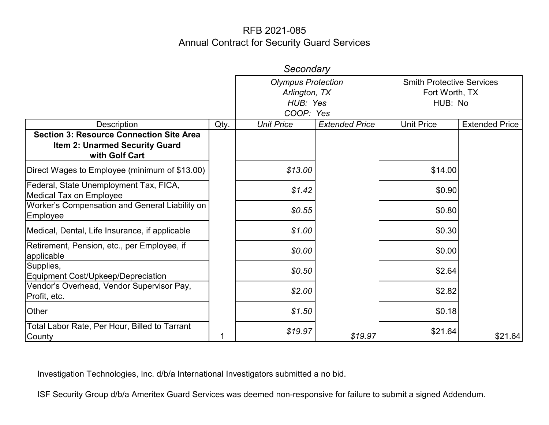|                                                                                                            |      | Secondary                                                           |                       |                                                               |                       |
|------------------------------------------------------------------------------------------------------------|------|---------------------------------------------------------------------|-----------------------|---------------------------------------------------------------|-----------------------|
|                                                                                                            |      | <b>Olympus Protection</b><br>Arlington, TX<br>HUB: Yes<br>COOP: Yes |                       | <b>Smith Protective Services</b><br>Fort Worth, TX<br>HUB: No |                       |
| <b>Description</b>                                                                                         | Qty. | <b>Unit Price</b>                                                   | <b>Extended Price</b> | <b>Unit Price</b>                                             | <b>Extended Price</b> |
| <b>Section 3: Resource Connection Site Area</b><br><b>Item 2: Unarmed Security Guard</b><br>with Golf Cart |      |                                                                     |                       |                                                               |                       |
| Direct Wages to Employee (minimum of \$13.00)                                                              |      | \$13.00                                                             |                       | \$14.00                                                       |                       |
| Federal, State Unemployment Tax, FICA,<br><b>Medical Tax on Employee</b>                                   |      | \$1.42                                                              |                       | \$0.90                                                        |                       |
| Worker's Compensation and General Liability on<br>Employee                                                 |      | \$0.55                                                              |                       | \$0.80                                                        |                       |
| Medical, Dental, Life Insurance, if applicable                                                             |      | \$1.00                                                              |                       | \$0.30                                                        |                       |
| Retirement, Pension, etc., per Employee, if<br>applicable                                                  |      | \$0.00                                                              |                       | \$0.00                                                        |                       |
| Supplies,<br>Equipment Cost/Upkeep/Depreciation                                                            |      | \$0.50                                                              |                       | \$2.64                                                        |                       |
| Vendor's Overhead, Vendor Supervisor Pay,<br>Profit, etc.                                                  |      | \$2.00                                                              |                       | \$2.82                                                        |                       |
| Other                                                                                                      |      | \$1.50                                                              |                       | \$0.18                                                        |                       |
| Total Labor Rate, Per Hour, Billed to Tarrant<br>County                                                    |      | \$19.97                                                             | \$19.97               | \$21.64                                                       | \$21.64               |

Investigation Technologies, Inc. d/b/a International Investigators submitted a no bid.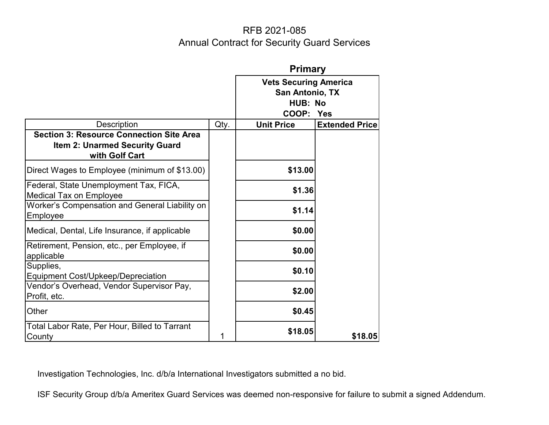|                                                                                                            |      | <b>Primary</b>                                             |                       |  |  |
|------------------------------------------------------------------------------------------------------------|------|------------------------------------------------------------|-----------------------|--|--|
|                                                                                                            |      | <b>Vets Securing America</b><br>San Antonio, TX<br>HUB: No |                       |  |  |
|                                                                                                            |      | COOP: Yes                                                  |                       |  |  |
| <b>Description</b>                                                                                         | Qty. | <b>Unit Price</b>                                          | <b>Extended Price</b> |  |  |
| <b>Section 3: Resource Connection Site Area</b><br><b>Item 2: Unarmed Security Guard</b><br>with Golf Cart |      |                                                            |                       |  |  |
| Direct Wages to Employee (minimum of \$13.00)                                                              |      | \$13.00                                                    |                       |  |  |
| Federal, State Unemployment Tax, FICA,<br><b>Medical Tax on Employee</b>                                   |      | \$1.36                                                     |                       |  |  |
| Worker's Compensation and General Liability on<br>Employee                                                 |      | \$1.14                                                     |                       |  |  |
| Medical, Dental, Life Insurance, if applicable                                                             |      | \$0.00                                                     |                       |  |  |
| Retirement, Pension, etc., per Employee, if<br>applicable                                                  |      | \$0.00                                                     |                       |  |  |
| Supplies,<br>Equipment Cost/Upkeep/Depreciation                                                            |      | \$0.10                                                     |                       |  |  |
| Vendor's Overhead, Vendor Supervisor Pay,<br>Profit, etc.                                                  |      | \$2.00                                                     |                       |  |  |
| Other                                                                                                      |      | \$0.45                                                     |                       |  |  |
| Total Labor Rate, Per Hour, Billed to Tarrant<br>County                                                    |      | \$18.05                                                    | \$18.05               |  |  |

Investigation Technologies, Inc. d/b/a International Investigators submitted a no bid.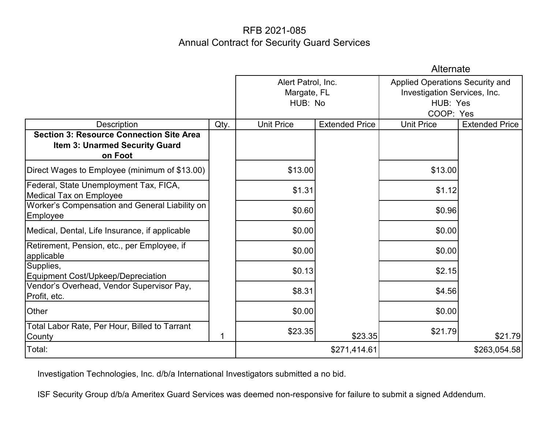|                                                                          |      |                                             | Alternate             |                                 |                       |  |
|--------------------------------------------------------------------------|------|---------------------------------------------|-----------------------|---------------------------------|-----------------------|--|
|                                                                          |      | Alert Patrol, Inc.                          |                       | Applied Operations Security and |                       |  |
|                                                                          |      | Investigation Services, Inc.<br>Margate, FL |                       |                                 |                       |  |
|                                                                          |      |                                             | HUB: No               |                                 | HUB: Yes              |  |
|                                                                          |      |                                             |                       |                                 | COOP: Yes             |  |
| <b>Description</b>                                                       | Qty. | <b>Unit Price</b>                           | <b>Extended Price</b> | <b>Unit Price</b>               | <b>Extended Price</b> |  |
| <b>Section 3: Resource Connection Site Area</b>                          |      |                                             |                       |                                 |                       |  |
| Item 3: Unarmed Security Guard                                           |      |                                             |                       |                                 |                       |  |
| on Foot                                                                  |      |                                             |                       |                                 |                       |  |
| Direct Wages to Employee (minimum of \$13.00)                            |      | \$13.00                                     |                       | \$13.00                         |                       |  |
| Federal, State Unemployment Tax, FICA,<br><b>Medical Tax on Employee</b> |      | \$1.31                                      |                       | \$1.12                          |                       |  |
| Worker's Compensation and General Liability on<br>Employee               |      | \$0.60                                      |                       | \$0.96                          |                       |  |
| Medical, Dental, Life Insurance, if applicable                           |      | \$0.00                                      |                       | \$0.00                          |                       |  |
| Retirement, Pension, etc., per Employee, if<br>applicable                |      | \$0.00                                      |                       | \$0.00                          |                       |  |
| Supplies,<br><b>Equipment Cost/Upkeep/Depreciation</b>                   |      | \$0.13                                      |                       | \$2.15                          |                       |  |
| Vendor's Overhead, Vendor Supervisor Pay,<br>Profit, etc.                |      | \$8.31                                      |                       | \$4.56                          |                       |  |
| Other                                                                    |      | \$0.00                                      |                       | \$0.00                          |                       |  |
| Total Labor Rate, Per Hour, Billed to Tarrant<br>County                  |      | \$23.35                                     | \$23.35               | \$21.79                         | \$21.79               |  |
| Total:                                                                   |      |                                             | \$271,414.61          |                                 | \$263,054.58          |  |

Investigation Technologies, Inc. d/b/a International Investigators submitted a no bid.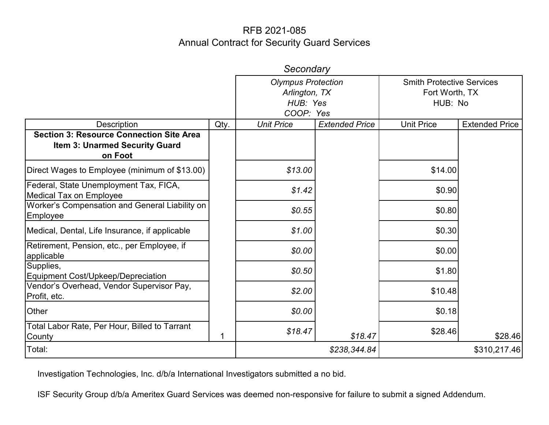| Secondary                                                                |      |                                            |                                                    |                   |                       |  |
|--------------------------------------------------------------------------|------|--------------------------------------------|----------------------------------------------------|-------------------|-----------------------|--|
|                                                                          |      | <b>Olympus Protection</b><br>Arlington, TX | <b>Smith Protective Services</b><br>Fort Worth, TX |                   |                       |  |
|                                                                          |      | HUB: Yes<br>HUB: No<br>COOP: Yes           |                                                    |                   |                       |  |
| <b>Description</b>                                                       | Qty. | <b>Unit Price</b>                          | <b>Extended Price</b>                              | <b>Unit Price</b> | <b>Extended Price</b> |  |
| <b>Section 3: Resource Connection Site Area</b>                          |      |                                            |                                                    |                   |                       |  |
| Item 3: Unarmed Security Guard                                           |      |                                            |                                                    |                   |                       |  |
| on Foot                                                                  |      |                                            |                                                    |                   |                       |  |
| Direct Wages to Employee (minimum of \$13.00)                            |      | \$13.00                                    |                                                    | \$14.00           |                       |  |
| Federal, State Unemployment Tax, FICA,<br><b>Medical Tax on Employee</b> |      | \$1.42                                     |                                                    | \$0.90            |                       |  |
| Worker's Compensation and General Liability on<br>Employee               |      | \$0.55                                     |                                                    | \$0.80            |                       |  |
| Medical, Dental, Life Insurance, if applicable                           |      | \$1.00                                     |                                                    | \$0.30            |                       |  |
| Retirement, Pension, etc., per Employee, if<br>applicable                |      | \$0.00                                     |                                                    | \$0.00            |                       |  |
| Supplies,<br>Equipment Cost/Upkeep/Depreciation                          |      | \$0.50                                     |                                                    | \$1.80            |                       |  |
| Vendor's Overhead, Vendor Supervisor Pay,<br>Profit, etc.                |      | \$2.00                                     |                                                    | \$10.48           |                       |  |
| Other                                                                    |      | \$0.00                                     |                                                    | \$0.18            |                       |  |
| Total Labor Rate, Per Hour, Billed to Tarrant<br>County                  |      | \$18.47                                    | \$18.47                                            | \$28.46           | \$28.46               |  |
| Total:                                                                   |      |                                            | \$238,344.84                                       |                   | \$310,217.46          |  |

Investigation Technologies, Inc. d/b/a International Investigators submitted a no bid.